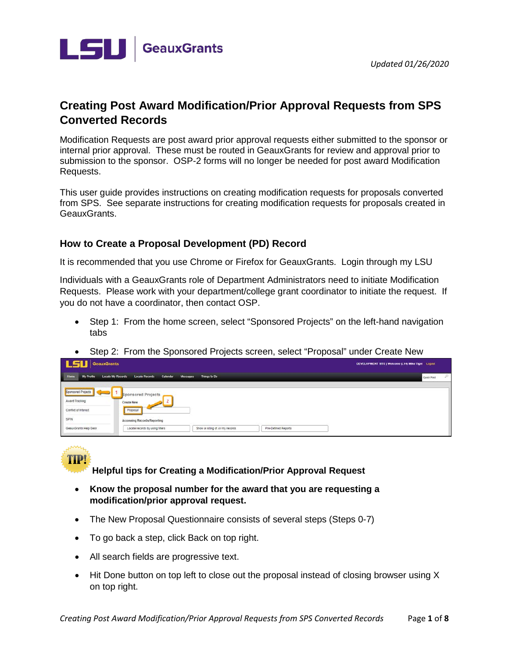

## **Creating Post Award Modification/Prior Approval Requests from SPS Converted Records**

Modification Requests are post award prior approval requests either submitted to the sponsor or internal prior approval. These must be routed in GeauxGrants for review and approval prior to submission to the sponsor. OSP-2 forms will no longer be needed for post award Modification Requests.

This user guide provides instructions on creating modification requests for proposals converted from SPS. See separate instructions for creating modification requests for proposals created in GeauxGrants.

### **How to Create a Proposal Development (PD) Record**

It is recommended that you use Chrome or Firefox for GeauxGrants. Login through my LSU

Individuals with a GeauxGrants role of Department Administrators need to initiate Modification Requests. Please work with your department/college grant coordinator to initiate the request. If you do not have a coordinator, then contact OSP.

- Step 1: From the home screen, select "Sponsored Projects" on the left-hand navigation tabs
- Step 2: From the Sponsored Projects screen, select "Proposal" under Create New

| <b>LSU</b> GeauxGrants                                                       |                                                                       |                                  |                     | DEVELOPMENT SITE   Welcome (L14) Mike Tiger Logout |
|------------------------------------------------------------------------------|-----------------------------------------------------------------------|----------------------------------|---------------------|----------------------------------------------------|
| Home<br>My Profile                                                           | Locate My Records<br>Calendar<br><b>Locate Records</b>                | Messages<br>Things to Do         |                     | $\mathcal{L}$<br>Quick Find                        |
| Sponsored Projects<br>$\leftarrow$<br>Award Tracking<br>Conflict of Interest | Sponsored Projects<br>Create New<br>Proposal                          |                                  |                     |                                                    |
| SPIN<br>GeauxGrants Help Desk                                                | <b>Accessing Records/Reporting</b><br>Locate records by using filters | Show a listing of All my records | Pre-Defined Reports |                                                    |

TIP

**Helpful tips for Creating a Modification/Prior Approval Request**

- **Know the proposal number for the award that you are requesting a modification/prior approval request.**
- The New Proposal Questionnaire consists of several steps (Steps 0-7)
- To go back a step, click Back on top right.
- All search fields are progressive text.
- Hit Done button on top left to close out the proposal instead of closing browser using X on top right.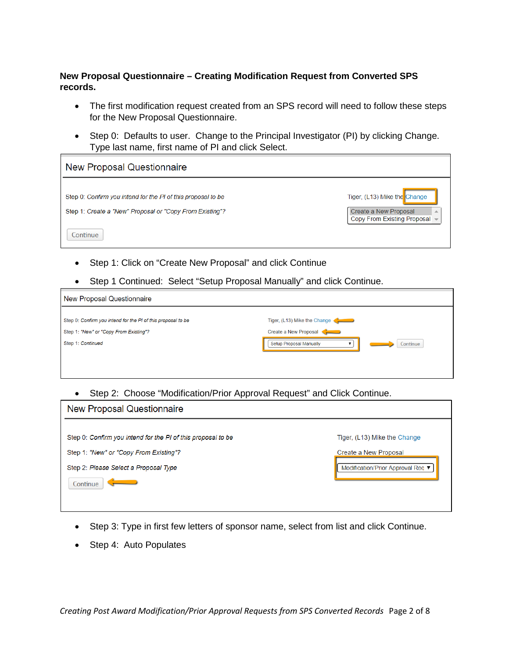### **New Proposal Questionnaire – Creating Modification Request from Converted SPS records.**

- The first modification request created from an SPS record will need to follow these steps for the New Proposal Questionnaire.
- Step 0: Defaults to user. Change to the Principal Investigator (PI) by clicking Change. Type last name, first name of PI and click Select.

| New Proposal Questionnaire                                   |                               |
|--------------------------------------------------------------|-------------------------------|
| Step 0: Confirm you intend for the PI of this proposal to be | Tiger, (L13) Mike the Change  |
| Step 1: Create a "New" Proposal or "Copy From Existing"?     | Create a New Proposal         |
| Continue                                                     | Copy From Existing Proposal - |

- Step 1: Click on "Create New Proposal" and click Continue
- Step 1 Continued: Select "Setup Proposal Manually" and click Continue.

| New Proposal Questionnaire                                   |                                     |
|--------------------------------------------------------------|-------------------------------------|
| Step 0: Confirm you intend for the PI of this proposal to be | Tiger, (L13) Mike the Change        |
| Step 1: "New" or "Copy From Existing"?                       | Create a New Proposal               |
| Step 1: Continued                                            | Setup Proposal Manually<br>Continue |
|                                                              |                                     |

• Step 2: Choose "Modification/Prior Approval Request" and Click Continue.

| New Proposal Questionnaire                                   |                                   |
|--------------------------------------------------------------|-----------------------------------|
|                                                              |                                   |
| Step 0: Confirm you intend for the PI of this proposal to be | Tiger, (L13) Mike the Change      |
| Step 1: "New" or "Copy From Existing"?                       | Create a New Proposal             |
| Step 2: Please Select a Proposal Type                        | Modification/Prior Approval Req ▼ |
| Continue                                                     |                                   |
|                                                              |                                   |

- Step 3: Type in first few letters of sponsor name, select from list and click Continue.
- Step 4: Auto Populates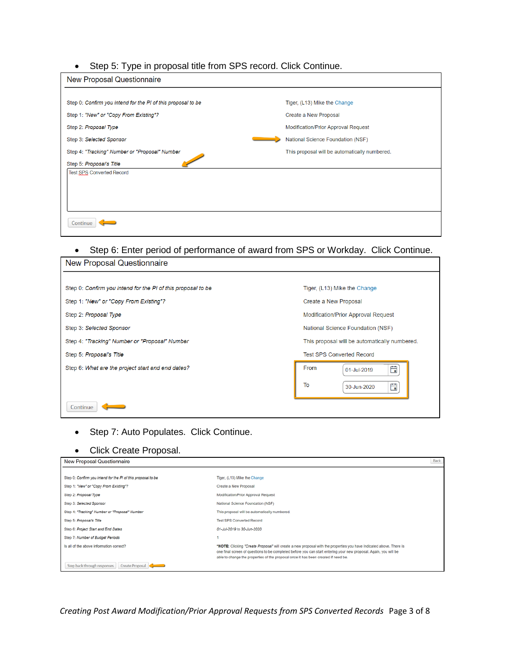### • Step 5: Type in proposal title from SPS record. Click Continue.

| New Proposal Questionnaire                                   |                                               |
|--------------------------------------------------------------|-----------------------------------------------|
|                                                              |                                               |
| Step 0: Confirm you intend for the PI of this proposal to be | Tiger, (L13) Mike the Change                  |
| Step 1: "New" or "Copy From Existing"?                       | Create a New Proposal                         |
| Step 2: Proposal Type                                        | Modification/Prior Approval Request           |
| Step 3: Selected Sponsor                                     | National Science Foundation (NSF)             |
| Step 4: "Tracking" Number or "Proposal" Number               | This proposal will be automatically numbered. |
| Step 5: Proposal's Title                                     |                                               |
| Test SPS Converted Record                                    |                                               |
|                                                              |                                               |
|                                                              |                                               |
|                                                              |                                               |
| Continue                                                     |                                               |
|                                                              |                                               |

# • Step 6: Enter period of performance of award from SPS or Workday. Click Continue.

 $\overline{1}$ 

| New Proposal Questionnaire                                   |                                               |  |  |  |
|--------------------------------------------------------------|-----------------------------------------------|--|--|--|
| Step 0: Confirm you intend for the PI of this proposal to be | Tiger, (L13) Mike the Change                  |  |  |  |
| Step 1: "New" or "Copy From Existing"?                       | Create a New Proposal                         |  |  |  |
| Step 2: Proposal Type                                        | <b>Modification/Prior Approval Request</b>    |  |  |  |
| Step 3: Selected Sponsor                                     | National Science Foundation (NSF)             |  |  |  |
| Step 4: "Tracking" Number or "Proposal" Number               | This proposal will be automatically numbered. |  |  |  |
| Step 5: Proposal's Title                                     | <b>Test SPS Converted Record</b>              |  |  |  |
| Step 6: What are the project start and end dates?            | From<br>曲<br>01-Jul-2019                      |  |  |  |
|                                                              | To<br>Ö<br>30-Jun-2020                        |  |  |  |
| Continue                                                     |                                               |  |  |  |

## • Step 7: Auto Populates. Click Continue.

### • Click Create Proposal.

| New Proposal Questionnaire                                   |                                                                                                                                                                                                                                                                                                                                | <b>DUCK</b> |
|--------------------------------------------------------------|--------------------------------------------------------------------------------------------------------------------------------------------------------------------------------------------------------------------------------------------------------------------------------------------------------------------------------|-------------|
|                                                              |                                                                                                                                                                                                                                                                                                                                |             |
| Step 0: Confirm you intend for the PI of this proposal to be | Tiger, (L13) Mike the Change                                                                                                                                                                                                                                                                                                   |             |
| Step 1: "New" or "Copy From Existing"?                       | Create a New Proposal                                                                                                                                                                                                                                                                                                          |             |
| Step 2: Proposal Type                                        | Modification/Prior Approval Request                                                                                                                                                                                                                                                                                            |             |
| Step 3: Selected Sponsor                                     | National Science Foundation (NSF)                                                                                                                                                                                                                                                                                              |             |
| Step 4: "Tracking" Number or "Proposal" Number               | This proposal will be automatically numbered.                                                                                                                                                                                                                                                                                  |             |
| Step 5: Proposal's Title                                     | <b>Test SPS Converted Record</b>                                                                                                                                                                                                                                                                                               |             |
| Step 6: Project Start and End Dates                          | 01-Jul-2019 to 30-Jun-2020                                                                                                                                                                                                                                                                                                     |             |
| Step 7: Number of Budget Periods                             |                                                                                                                                                                                                                                                                                                                                |             |
| Is all of the above information correct?                     | *NOTE: Clicking "Create Proposal" will create a new proposal with the properties you have indicated above. There is<br>one final screen of questions to be completed before you can start entering your new proposal. Again, you will be<br>able to change the properties of the proposal once it has been created if need be. |             |
| Step back through responses<br>Create Proposal               |                                                                                                                                                                                                                                                                                                                                |             |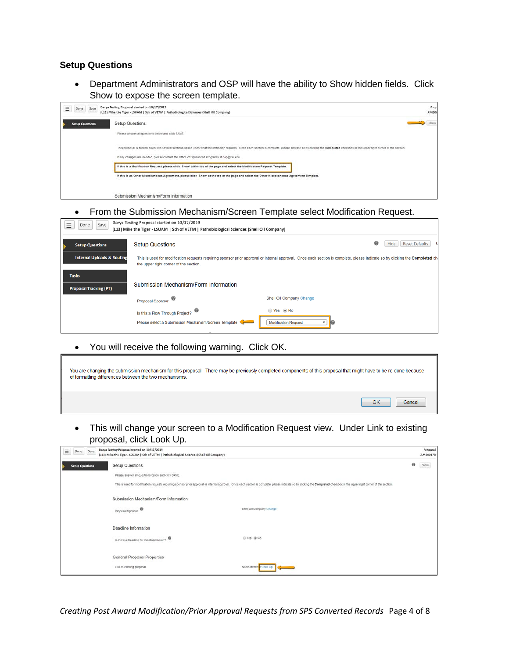#### **Setup Questions**

• Department Administrators and OSP will have the ability to Show hidden fields. Click Show to expose the screen template.

| Ξ | Done Save              | Darya Testing Proposal started on 10/17/2019<br>(L13) Mike the Tiger - LSUAM   Sch of VETM   Pathobiological Sciences (Shell Oil Company)                                                                                   | AM200 | Prop |
|---|------------------------|-----------------------------------------------------------------------------------------------------------------------------------------------------------------------------------------------------------------------------|-------|------|
|   | <b>Setup Questions</b> | Setup Questions                                                                                                                                                                                                             | Show  |      |
|   |                        | Please answer all questions below and click SAVE.                                                                                                                                                                           |       |      |
|   |                        | This proposal is broken down into several sections based upon what the institution requires. Once each section is complete, please indicate so by clicking the Completed checkbox in the upper right corner of the section. |       |      |
|   |                        | If any changes are needed, please contact the Office of Sponsored Programs at osp@lsu.edu.                                                                                                                                  |       |      |
|   |                        | If this is a Modification Request, please click 'Show' at the top of the page and select the Modification Request Template.                                                                                                 |       |      |
|   |                        | If this is an Other Miscellaneous Agreement, please click 'Show' at the top of the page and select the Other Miscellaneous Agreement Template.                                                                              |       |      |
|   |                        | Submission Mechanism/Form Information                                                                                                                                                                                       |       |      |

• From the Submission Mechanism/Screen Template select Modification Request.

| Save<br>Done                                  | Darya Testing Proposal started on 10/17/2019<br>(L13) Mike the Tiger - LSUAM   Sch of VETM   Pathobiological Sciences (Shell Oil Company)                                                                              |                                        |                                    |
|-----------------------------------------------|------------------------------------------------------------------------------------------------------------------------------------------------------------------------------------------------------------------------|----------------------------------------|------------------------------------|
| <b>Setup Questions</b>                        | <b>Setup Questions</b>                                                                                                                                                                                                 |                                        | ❸<br><b>Reset Defaults</b><br>Hide |
| <b>Internal Uploads &amp; Routing</b>         | This is used for modification requests requiring sponsor prior approval or internal approval. Once each section is complete, please indicate so by clicking the Completed ch<br>the upper right corner of the section. |                                        |                                    |
| <b>Tasks</b><br><b>Proposal Tracking (PT)</b> | Submission Mechanism/Form Information                                                                                                                                                                                  |                                        |                                    |
|                                               | ♥<br>Proposal Sponsor                                                                                                                                                                                                  | Shell Oil Company Change               |                                    |
|                                               | Is this a Flow Through Project?<br>Please select a Submission Mechanism/Screen Template<br><b>STATES</b>                                                                                                               | Yes ONo<br><b>Modification Request</b> |                                    |

• You will receive the following warning. Click OK.

| of formatting differences between the two mechanisms. | You are changing the submission mechanism for this proposal. There may be previously completed components of this proposal that might have to be re-done because |              |
|-------------------------------------------------------|------------------------------------------------------------------------------------------------------------------------------------------------------------------|--------------|
|                                                       |                                                                                                                                                                  | OK<br>Cancel |

• This will change your screen to a Modification Request view. Under Link to existing proposal, click Look Up.

| $\equiv$<br>Save<br>Done | Darya Testing Proposal started on 10/17/2019<br>(L13) Mike the Tiger - LSUAM   Sch of VETM   Pathobiological Sciences (Shell Oil Company) |                                                                                                                                                                                                                              |   | Proposal<br>AM200178 |
|--------------------------|-------------------------------------------------------------------------------------------------------------------------------------------|------------------------------------------------------------------------------------------------------------------------------------------------------------------------------------------------------------------------------|---|----------------------|
| <b>Setup Questions</b>   | Setup Questions                                                                                                                           |                                                                                                                                                                                                                              | ø | Show                 |
|                          | Please answer all questions below and click SAVE.                                                                                         |                                                                                                                                                                                                                              |   |                      |
|                          |                                                                                                                                           | This is used for modification requests requiring sponsor prior approval or internal approval. Once each section is complete, please indicate so by clicking the Completed checkbox in the upper right corner of the section. |   |                      |
|                          | Submission Mechanism/Form Information                                                                                                     |                                                                                                                                                                                                                              |   |                      |
|                          | Proposal Sponsor                                                                                                                          | Shell Oil Company Change                                                                                                                                                                                                     |   |                      |
|                          | Deadline Information                                                                                                                      |                                                                                                                                                                                                                              |   |                      |
|                          | $\circ$<br>is there a Deadline for this Submission?                                                                                       | © Yes ® No                                                                                                                                                                                                                   |   |                      |
|                          | General Proposal Properties                                                                                                               |                                                                                                                                                                                                                              |   |                      |
|                          | Link to existing proposal                                                                                                                 | None Identify d'Look Up                                                                                                                                                                                                      |   |                      |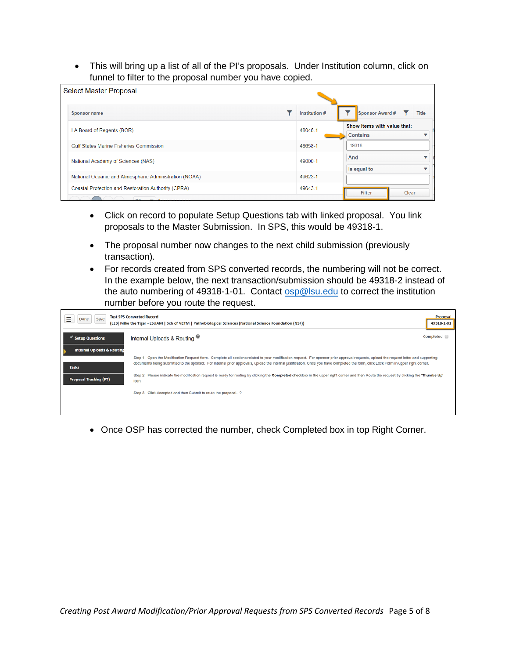• This will bring up a list of all of the PI's proposals. Under Institution column, click on funnel to filter to the proposal number you have copied.

| Select Master Proposal                                                                     |               |     |                                                |       |              |
|--------------------------------------------------------------------------------------------|---------------|-----|------------------------------------------------|-------|--------------|
| <b>Sponsor name</b>                                                                        | Institution # |     | Sponsor Award #                                |       | <b>Title</b> |
| LA Board of Regents (BOR)                                                                  | 48046-1       |     | Show items with value that:<br><b>Contains</b> |       |              |
| <b>Gulf States Marine Fisheries Commission</b>                                             | 48658-1       |     | 49318                                          |       |              |
| National Academy of Sciences (NAS)                                                         | 49000-1       | And | Is equal to                                    |       |              |
| National Oceanic and Atmospheric Administration (NOAA)                                     | 49623-1       |     |                                                |       |              |
| Coastal Protection and Restoration Authority (CPRA)<br>$\Omega$<br>$\equiv$ items par page | 49643-1       |     | Filter                                         | Clear |              |

- Click on record to populate Setup Questions tab with linked proposal. You link proposals to the Master Submission. In SPS, this would be 49318-1.
- The proposal number now changes to the next child submission (previously transaction).
- For records created from SPS converted records, the numbering will not be correct. In the example below, the next transaction/submission should be 49318-2 instead of the auto numbering of 49318-1-01. Contact [osp@lsu.edu](mailto:osp@lsu.edu) to correct the institution number before you route the request.

| =<br>Save<br>Done                             | <b>Test SPS Converted Record</b><br>(L13) Mike the Tiger - LSUAM   Sch of VETM   Pathobiological Sciences (National Science Foundation (NSF))                                                                                                                                                                                                                                | Proposal<br>49318-1-01 |
|-----------------------------------------------|------------------------------------------------------------------------------------------------------------------------------------------------------------------------------------------------------------------------------------------------------------------------------------------------------------------------------------------------------------------------------|------------------------|
| <b>Setup Questions</b>                        | Internal Uploads & Routing <sup>®</sup>                                                                                                                                                                                                                                                                                                                                      | Completed <sub>0</sub> |
| <b>Internal Uploads &amp; Routing</b>         | Step 1: Open the Modification Request form. Complete all sections related to your modification request. For sponsor prior approval requests, upload the request letter and supporting<br>documents being submitted to the sponsor. For internal prior approvals, upload the internal justification. Once you have completed the form, click Lock Form in upper right corner. |                        |
| <b>Tasks</b><br><b>Proposal Tracking (PT)</b> | Step 2: Please indicate the modification request is ready for routing by clicking the Completed checkbox in the upper right corner and then Route the request by clicking the 'Thumbs Up'<br>icon.                                                                                                                                                                           |                        |
|                                               | Step 3: Click Accepted and then Submit to route the proposal. ?                                                                                                                                                                                                                                                                                                              |                        |
|                                               |                                                                                                                                                                                                                                                                                                                                                                              |                        |

• Once OSP has corrected the number, check Completed box in top Right Corner.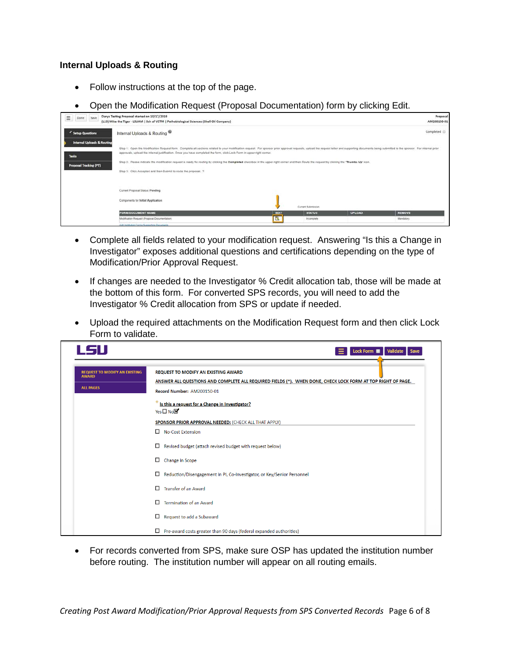### **Internal Uploads & Routing**

- Follow instructions at the top of the page.
- Open the Modification Request (Proposal Documentation) form by clicking Edit.

| $\equiv$ Done Save | Darya Testing Proposal started on 10/17/2019                                              |
|--------------------|-------------------------------------------------------------------------------------------|
|                    | (L13) Mike the Tiger - LSUAM   Sch of VETM   Pathobiological Sciences (Shell Oil Company) |

|                                                                                        | (CT3) Mike the Tiger - CSUAM   Sch of VETM   Kathobiological Sciences (Shell Oil Company)                                                                                                                                                                                                                                                                                                                                                                                                                                                                                                                                     |      |                    |               | <b>MMSD0120-01</b> |
|----------------------------------------------------------------------------------------|-------------------------------------------------------------------------------------------------------------------------------------------------------------------------------------------------------------------------------------------------------------------------------------------------------------------------------------------------------------------------------------------------------------------------------------------------------------------------------------------------------------------------------------------------------------------------------------------------------------------------------|------|--------------------|---------------|--------------------|
| Setup Questions                                                                        | Internal Uploads & Routing                                                                                                                                                                                                                                                                                                                                                                                                                                                                                                                                                                                                    |      |                    |               | Completed          |
| <b>Internal Uploads &amp; Routing</b><br><b>Tasks</b><br><b>Proposal Tracking (PT)</b> | Step 1: Open the Modification Request form. Complete all sections related to your modification request. For sponsor prior approval requests, upload the request letter and supporting documents being submitted to the sponsor<br>approvals, upload the infernal justification. Once you have completed the form, click Lock Form in upper right comer.<br>Step 2: Please indicate the modification request is ready for routing by clicking the Completed checkbox in the upper right corner and then Route the request by clicking the "Thumbs Up" icon.<br>Step 3: Click Accepted and then Submit to route the proposal. ? |      |                    |               |                    |
|                                                                                        | Current Proposal Status: Pending                                                                                                                                                                                                                                                                                                                                                                                                                                                                                                                                                                                              |      |                    |               |                    |
|                                                                                        | Components for Initial Application                                                                                                                                                                                                                                                                                                                                                                                                                                                                                                                                                                                            |      | Current Submission |               |                    |
|                                                                                        | <b>FORM/DOCUMENT NAME</b>                                                                                                                                                                                                                                                                                                                                                                                                                                                                                                                                                                                                     | EDIT | <b>STATUS</b>      | <b>UPLOAD</b> | <b>REMOVE</b>      |
|                                                                                        | Modification Request (Proposal Documentation)                                                                                                                                                                                                                                                                                                                                                                                                                                                                                                                                                                                 | B    | Incomplete         |               | Mandatory          |
|                                                                                        |                                                                                                                                                                                                                                                                                                                                                                                                                                                                                                                                                                                                                               |      |                    |               |                    |

- Complete all fields related to your modification request. Answering "Is this a Change in Investigator" exposes additional questions and certifications depending on the type of Modification/Prior Approval Request.
- If changes are needed to the Investigator % Credit allocation tab, those will be made at the bottom of this form. For converted SPS records, you will need to add the Investigator % Credit allocation from SPS or update if needed.
- Upload the required attachments on the Modification Request form and then click Lock Form to validate.

| LSU                                                                      | Lock Form <b>III</b><br>Validate                                                                                                                                                        |
|--------------------------------------------------------------------------|-----------------------------------------------------------------------------------------------------------------------------------------------------------------------------------------|
| <b>REQUEST TO MODIFY AN EXISTING</b><br><b>AWARD</b><br><b>ALL PAGES</b> | <b>REQUEST TO MODIFY AN EXISTING AWARD</b><br>ANSWER ALL QUESTIONS AND COMPLETE ALL REQUIRED FIELDS (*). WHEN DONE, CHECK LOCK FORM AT TOP RIGHT OF PAGE.<br>Record Number: AM200150-01 |
|                                                                          | ⋇<br>Is this a request for a Change in Investigator?<br>$Yes \Box No$                                                                                                                   |
|                                                                          | <b>SPONSOR PRIOR APPROVAL NEEDED: (CHECK ALL THAT APPLY)</b><br>No-Cost Extension                                                                                                       |
|                                                                          | □<br>Revised budget (attach revised budget with request below)                                                                                                                          |
|                                                                          | □<br>Change in Scope                                                                                                                                                                    |
|                                                                          | □<br>Reduction/Disengagement in PI, Co-Investigator, or Key/Senior Personnel<br>□<br><b>Transfer of an Award</b>                                                                        |
|                                                                          | п<br><b>Termination of an Award</b>                                                                                                                                                     |
|                                                                          | □<br>Request to add a Subaward                                                                                                                                                          |
|                                                                          | □<br>Pre-award costs greater than 90 days (federal expanded authorities)                                                                                                                |

• For records converted from SPS, make sure OSP has updated the institution number before routing. The institution number will appear on all routing emails.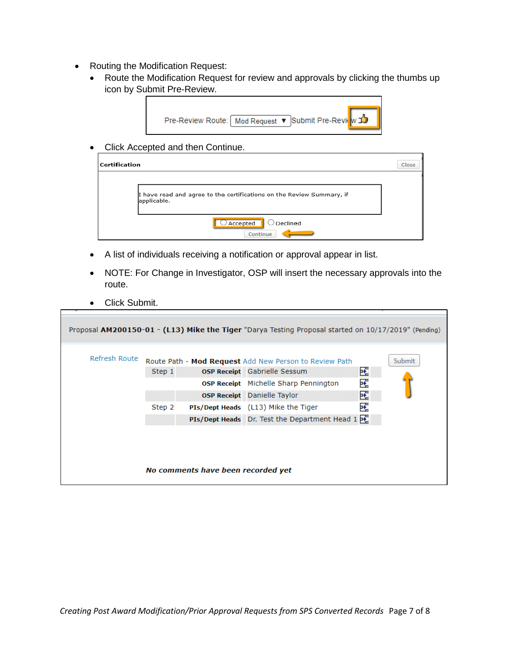- Routing the Modification Request:
	- Route the Modification Request for review and approvals by clicking the thumbs up icon by Submit Pre-Review.



• Click Accepted and then Continue.

| <b>Certification</b> |                                                                                      | Close |
|----------------------|--------------------------------------------------------------------------------------|-------|
|                      | I have read and agree to the certifications on the Review Summary, if<br>applicable. |       |
|                      | Declined<br>$\cup$ Accepted<br>Continue                                              |       |

- A list of individuals receiving a notification or approval appear in list.
- NOTE: For Change in Investigator, OSP will insert the necessary approvals into the route.
- Click Submit.

|               |                  |                                    | Proposal AM200150-01 - (L13) Mike the Tiger "Darya Testing Proposal started on 10/17/2019" (Pending)                                                                                                                                                                                         |                  |        |
|---------------|------------------|------------------------------------|----------------------------------------------------------------------------------------------------------------------------------------------------------------------------------------------------------------------------------------------------------------------------------------------|------------------|--------|
| Refresh Route | Step 1<br>Step 2 |                                    | Route Path - Mod Request Add New Person to Review Path<br><b>OSP Receipt</b> Gabrielle Sessum<br>OSP Receipt Michelle Sharp Pennington<br><b>OSP Receipt</b> Danielle Taylor<br>PIs/Dept Heads (L13) Mike the Tiger<br><b>PIs/Dept Heads</b> Dr. Test the Department Head $1 \overline{P_2}$ | 也<br>∗<br>旺<br>吒 | Submit |
|               |                  | No comments have been recorded yet |                                                                                                                                                                                                                                                                                              |                  |        |